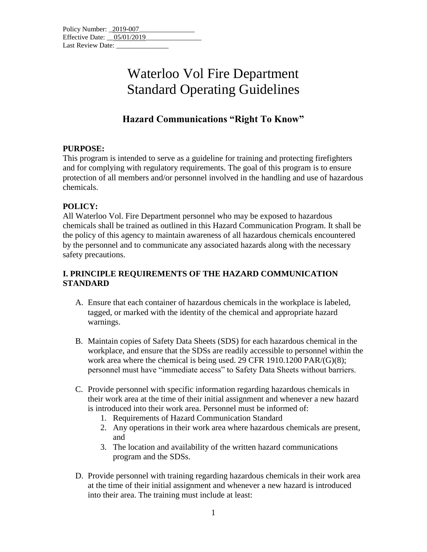| Policy Number: 2019-007    |  |
|----------------------------|--|
| Effective Date: 05/01/2019 |  |
| Last Review Date:          |  |

# **Hazard Communications "Right To Know"**

### **PURPOSE:**

This program is intended to serve as a guideline for training and protecting firefighters and for complying with regulatory requirements. The goal of this program is to ensure protection of all members and/or personnel involved in the handling and use of hazardous chemicals.

### **POLICY:**

All Waterloo Vol. Fire Department personnel who may be exposed to hazardous chemicals shall be trained as outlined in this Hazard Communication Program. It shall be the policy of this agency to maintain awareness of all hazardous chemicals encountered by the personnel and to communicate any associated hazards along with the necessary safety precautions.

### **I. PRINCIPLE REQUIREMENTS OF THE HAZARD COMMUNICATION STANDARD**

- A. Ensure that each container of hazardous chemicals in the workplace is labeled, tagged, or marked with the identity of the chemical and appropriate hazard warnings.
- B. Maintain copies of Safety Data Sheets (SDS) for each hazardous chemical in the workplace, and ensure that the SDSs are readily accessible to personnel within the work area where the chemical is being used. 29 CFR 1910.1200 PAR/(G)(8); personnel must have "immediate access" to Safety Data Sheets without barriers.
- C. Provide personnel with specific information regarding hazardous chemicals in their work area at the time of their initial assignment and whenever a new hazard is introduced into their work area. Personnel must be informed of:
	- 1. Requirements of Hazard Communication Standard
	- 2. Any operations in their work area where hazardous chemicals are present, and
	- 3. The location and availability of the written hazard communications program and the SDSs.
- D. Provide personnel with training regarding hazardous chemicals in their work area at the time of their initial assignment and whenever a new hazard is introduced into their area. The training must include at least: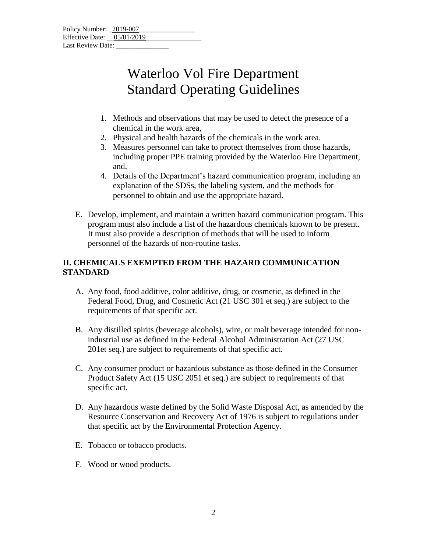| Policy Number: 2019-007    |  |
|----------------------------|--|
| Effective Date: 05/01/2019 |  |
| Last Review Date:          |  |

- 1. Methods and observations that may be used to detect the presence of a chemical in the work area,
- 2. Physical and health hazards of the chemicals in the work area.
- 3. Measures personnel can take to protect themselves from those hazards, including proper PPE training provided by the Waterloo Fire Department, and,
- 4. Details of the Department's hazard communication program, including an explanation of the SDSs, the labeling system, and the methods for personnel to obtain and use the appropriate hazard.
- E. Develop, implement, and maintain a written hazard communication program. This program must also include a list of the hazardous chemicals known to be present. It must also provide a description of methods that will be used to inform personnel of the hazards of non-routine tasks.

### **II. CHEMICALS EXEMPTED FROM THE HAZARD COMMUNICATION STANDARD**

- A. Any food, food additive, color additive, drug, or cosmetic, as defined in the Federal Food, Drug, and Cosmetic Act (21 USC 301 et seq.) are subject to the requirements of that specific act.
- B. Any distilled spirits (beverage alcohols), wire, or malt beverage intended for nonindustrial use as defined in the Federal Alcohol Administration Act (27 USC 201et seq.) are subject to requirements of that specific act.
- C. Any consumer product or hazardous substance as those defined in the Consumer Product Safety Act (15 USC 2051 et seq.) are subject to requirements of that specific act.
- D. Any hazardous waste defined by the Solid Waste Disposal Act, as amended by the Resource Conservation and Recovery Act of 1976 is subject to regulations under that specific act by the Environmental Protection Agency.
- E. Tobacco or tobacco products.
- F. Wood or wood products.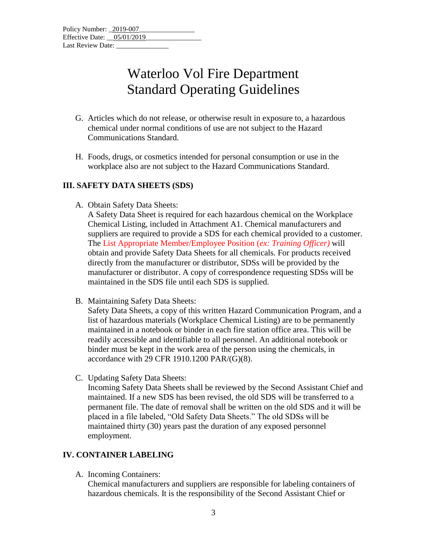- G. Articles which do not release, or otherwise result in exposure to, a hazardous chemical under normal conditions of use are not subject to the Hazard Communications Standard.
- H. Foods, drugs, or cosmetics intended for personal consumption or use in the workplace also are not subject to the Hazard Communications Standard.

## **III. SAFETY DATA SHEETS (SDS)**

- A. Obtain Safety Data Sheets:
	- A Safety Data Sheet is required for each hazardous chemical on the Workplace Chemical Listing, included in Attachment A1. Chemical manufacturers and suppliers are required to provide a SDS for each chemical provided to a customer. The List Appropriate Member/Employee Position (*ex: Training Officer)* will obtain and provide Safety Data Sheets for all chemicals. For products received directly from the manufacturer or distributor, SDSs will be provided by the manufacturer or distributor. A copy of correspondence requesting SDSs will be maintained in the SDS file until each SDS is supplied.
- B. Maintaining Safety Data Sheets:

Safety Data Sheets, a copy of this written Hazard Communication Program, and a list of hazardous materials (Workplace Chemical Listing) are to be permanently maintained in a notebook or binder in each fire station office area. This will be readily accessible and identifiable to all personnel. An additional notebook or binder must be kept in the work area of the person using the chemicals, in accordance with 29 CFR 1910.1200 PAR/(G)(8).

C. Updating Safety Data Sheets:

Incoming Safety Data Sheets shall be reviewed by the Second Assistant Chief and maintained. If a new SDS has been revised, the old SDS will be transferred to a permanent file. The date of removal shall be written on the old SDS and it will be placed in a file labeled, "Old Safety Data Sheets." The old SDSs will be maintained thirty (30) years past the duration of any exposed personnel employment.

### **IV. CONTAINER LABELING**

A. Incoming Containers:

Chemical manufacturers and suppliers are responsible for labeling containers of hazardous chemicals. It is the responsibility of the Second Assistant Chief or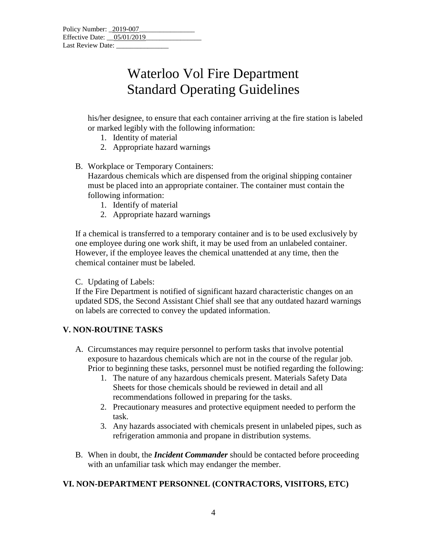his/her designee, to ensure that each container arriving at the fire station is labeled or marked legibly with the following information:

- 1. Identity of material
- 2. Appropriate hazard warnings
- B. Workplace or Temporary Containers:

Hazardous chemicals which are dispensed from the original shipping container must be placed into an appropriate container. The container must contain the following information:

- 1. Identify of material
- 2. Appropriate hazard warnings

If a chemical is transferred to a temporary container and is to be used exclusively by one employee during one work shift, it may be used from an unlabeled container. However, if the employee leaves the chemical unattended at any time, then the chemical container must be labeled.

C. Updating of Labels:

If the Fire Department is notified of significant hazard characteristic changes on an updated SDS, the Second Assistant Chief shall see that any outdated hazard warnings on labels are corrected to convey the updated information.

### **V. NON-ROUTINE TASKS**

- A. Circumstances may require personnel to perform tasks that involve potential exposure to hazardous chemicals which are not in the course of the regular job. Prior to beginning these tasks, personnel must be notified regarding the following:
	- 1. The nature of any hazardous chemicals present. Materials Safety Data Sheets for those chemicals should be reviewed in detail and all recommendations followed in preparing for the tasks.
	- 2. Precautionary measures and protective equipment needed to perform the task.
	- 3. Any hazards associated with chemicals present in unlabeled pipes, such as refrigeration ammonia and propane in distribution systems.
- B. When in doubt, the *Incident Commander* should be contacted before proceeding with an unfamiliar task which may endanger the member.

### **VI. NON-DEPARTMENT PERSONNEL (CONTRACTORS, VISITORS, ETC)**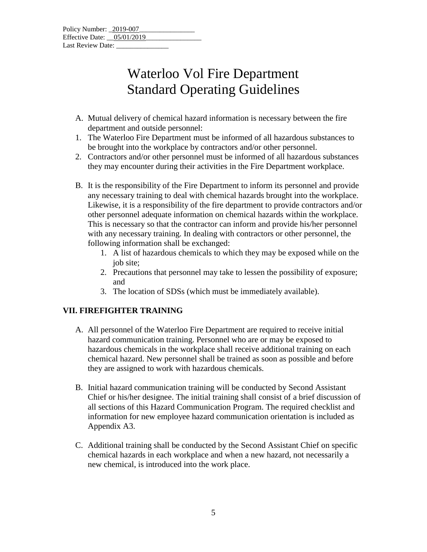| Policy Number: 2019-007    |  |
|----------------------------|--|
| Effective Date: 05/01/2019 |  |
| Last Review Date:          |  |

- A. Mutual delivery of chemical hazard information is necessary between the fire department and outside personnel:
- 1. The Waterloo Fire Department must be informed of all hazardous substances to be brought into the workplace by contractors and/or other personnel.
- 2. Contractors and/or other personnel must be informed of all hazardous substances they may encounter during their activities in the Fire Department workplace.
- B. It is the responsibility of the Fire Department to inform its personnel and provide any necessary training to deal with chemical hazards brought into the workplace. Likewise, it is a responsibility of the fire department to provide contractors and/or other personnel adequate information on chemical hazards within the workplace. This is necessary so that the contractor can inform and provide his/her personnel with any necessary training. In dealing with contractors or other personnel, the following information shall be exchanged:
	- 1. A list of hazardous chemicals to which they may be exposed while on the job site;
	- 2. Precautions that personnel may take to lessen the possibility of exposure; and
	- 3. The location of SDSs (which must be immediately available).

### **VII. FIREFIGHTER TRAINING**

- A. All personnel of the Waterloo Fire Department are required to receive initial hazard communication training. Personnel who are or may be exposed to hazardous chemicals in the workplace shall receive additional training on each chemical hazard. New personnel shall be trained as soon as possible and before they are assigned to work with hazardous chemicals.
- B. Initial hazard communication training will be conducted by Second Assistant Chief or his/her designee. The initial training shall consist of a brief discussion of all sections of this Hazard Communication Program. The required checklist and information for new employee hazard communication orientation is included as Appendix A3.
- C. Additional training shall be conducted by the Second Assistant Chief on specific chemical hazards in each workplace and when a new hazard, not necessarily a new chemical, is introduced into the work place.